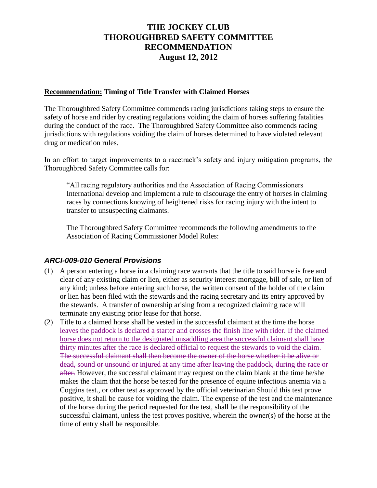## **THE JOCKEY CLUB THOROUGHBRED SAFETY COMMITTEE RECOMMENDATION August 12, 2012**

## **Recommendation: Timing of Title Transfer with Claimed Horses**

The Thoroughbred Safety Committee commends racing jurisdictions taking steps to ensure the safety of horse and rider by creating regulations voiding the claim of horses suffering fatalities during the conduct of the race. The Thoroughbred Safety Committee also commends racing jurisdictions with regulations voiding the claim of horses determined to have violated relevant drug or medication rules.

In an effort to target improvements to a racetrack's safety and injury mitigation programs, the Thoroughbred Safety Committee calls for:

"All racing regulatory authorities and the Association of Racing Commissioners International develop and implement a rule to discourage the entry of horses in claiming races by connections knowing of heightened risks for racing injury with the intent to transfer to unsuspecting claimants.

The Thoroughbred Safety Committee recommends the following amendments to the Association of Racing Commissioner Model Rules:

## *ARCI-009-010 General Provisions*

- (1) A person entering a horse in a claiming race warrants that the title to said horse is free and clear of any existing claim or lien, either as security interest mortgage, bill of sale, or lien of any kind; unless before entering such horse, the written consent of the holder of the claim or lien has been filed with the stewards and the racing secretary and its entry approved by the stewards. A transfer of ownership arising from a recognized claiming race will terminate any existing prior lease for that horse.
- (2) Title to a claimed horse shall be vested in the successful claimant at the time the horse leaves the paddock is declared a starter and crosses the finish line with rider. If the claimed horse does not return to the designated unsaddling area the successful claimant shall have thirty minutes after the race is declared official to request the stewards to void the claim. The successful claimant shall then become the owner of the horse whether it be alive or dead, sound or unsound or injured at any time after leaving the paddock, during the race or after. However, the successful claimant may request on the claim blank at the time he/she makes the claim that the horse be tested for the presence of equine infectious anemia via a Coggins test., or other test as approved by the official veterinarian Should this test prove positive, it shall be cause for voiding the claim. The expense of the test and the maintenance of the horse during the period requested for the test, shall be the responsibility of the successful claimant, unless the test proves positive, wherein the owner(s) of the horse at the time of entry shall be responsible.